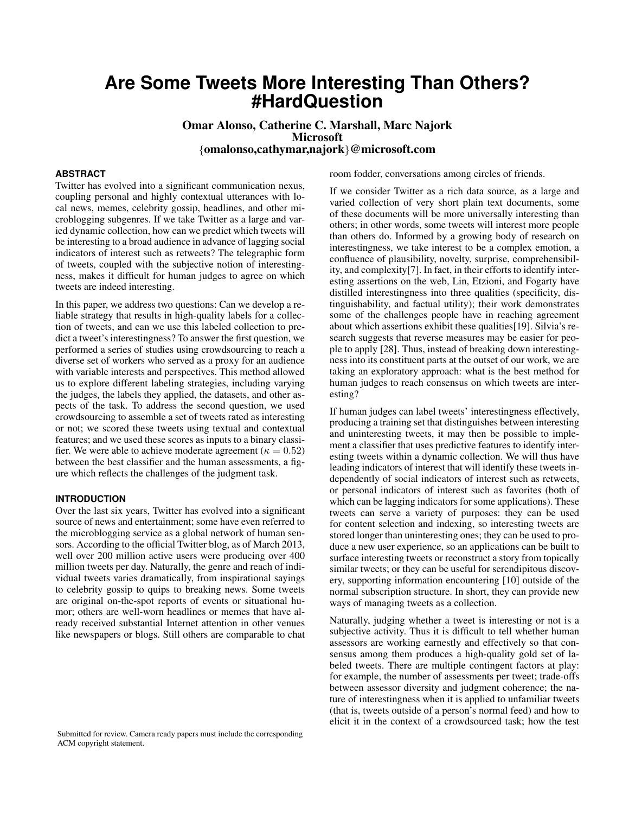# **Are Some Tweets More Interesting Than Others? #HardQuestion**

Omar Alonso, Catherine C. Marshall, Marc Najork Microsoft {omalonso,cathymar,najork}@microsoft.com

## **ABSTRACT**

Twitter has evolved into a significant communication nexus, coupling personal and highly contextual utterances with local news, memes, celebrity gossip, headlines, and other microblogging subgenres. If we take Twitter as a large and varied dynamic collection, how can we predict which tweets will be interesting to a broad audience in advance of lagging social indicators of interest such as retweets? The telegraphic form of tweets, coupled with the subjective notion of interestingness, makes it difficult for human judges to agree on which tweets are indeed interesting.

In this paper, we address two questions: Can we develop a reliable strategy that results in high-quality labels for a collection of tweets, and can we use this labeled collection to predict a tweet's interestingness? To answer the first question, we performed a series of studies using crowdsourcing to reach a diverse set of workers who served as a proxy for an audience with variable interests and perspectives. This method allowed us to explore different labeling strategies, including varying the judges, the labels they applied, the datasets, and other aspects of the task. To address the second question, we used crowdsourcing to assemble a set of tweets rated as interesting or not; we scored these tweets using textual and contextual features; and we used these scores as inputs to a binary classifier. We were able to achieve moderate agreement ( $\kappa = 0.52$ ) between the best classifier and the human assessments, a figure which reflects the challenges of the judgment task.

#### **INTRODUCTION**

Over the last six years, Twitter has evolved into a significant source of news and entertainment; some have even referred to the microblogging service as a global network of human sensors. According to the official Twitter blog, as of March 2013, well over 200 million active users were producing over 400 million tweets per day. Naturally, the genre and reach of individual tweets varies dramatically, from inspirational sayings to celebrity gossip to quips to breaking news. Some tweets are original on-the-spot reports of events or situational humor; others are well-worn headlines or memes that have already received substantial Internet attention in other venues like newspapers or blogs. Still others are comparable to chat

Submitted for review. Camera ready papers must include the corresponding ACM copyright statement.

room fodder, conversations among circles of friends.

If we consider Twitter as a rich data source, as a large and varied collection of very short plain text documents, some of these documents will be more universally interesting than others; in other words, some tweets will interest more people than others do. Informed by a growing body of research on interestingness, we take interest to be a complex emotion, a confluence of plausibility, novelty, surprise, comprehensibility, and complexity[7]. In fact, in their efforts to identify interesting assertions on the web, Lin, Etzioni, and Fogarty have distilled interestingness into three qualities (specificity, distinguishability, and factual utility); their work demonstrates some of the challenges people have in reaching agreement about which assertions exhibit these qualities[19]. Silvia's research suggests that reverse measures may be easier for people to apply [28]. Thus, instead of breaking down interestingness into its constituent parts at the outset of our work, we are taking an exploratory approach: what is the best method for human judges to reach consensus on which tweets are interesting?

If human judges can label tweets' interestingness effectively, producing a training set that distinguishes between interesting and uninteresting tweets, it may then be possible to implement a classifier that uses predictive features to identify interesting tweets within a dynamic collection. We will thus have leading indicators of interest that will identify these tweets independently of social indicators of interest such as retweets, or personal indicators of interest such as favorites (both of which can be lagging indicators for some applications). These tweets can serve a variety of purposes: they can be used for content selection and indexing, so interesting tweets are stored longer than uninteresting ones; they can be used to produce a new user experience, so an applications can be built to surface interesting tweets or reconstruct a story from topically similar tweets; or they can be useful for serendipitous discovery, supporting information encountering [10] outside of the normal subscription structure. In short, they can provide new ways of managing tweets as a collection.

Naturally, judging whether a tweet is interesting or not is a subjective activity. Thus it is difficult to tell whether human assessors are working earnestly and effectively so that consensus among them produces a high-quality gold set of labeled tweets. There are multiple contingent factors at play: for example, the number of assessments per tweet; trade-offs between assessor diversity and judgment coherence; the nature of interestingness when it is applied to unfamiliar tweets (that is, tweets outside of a person's normal feed) and how to elicit it in the context of a crowdsourced task; how the test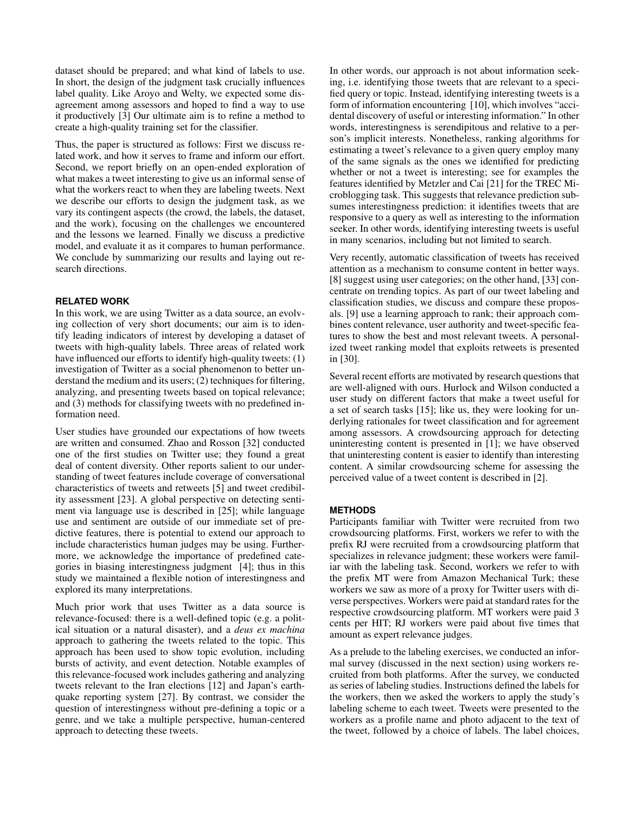dataset should be prepared; and what kind of labels to use. In short, the design of the judgment task crucially influences label quality. Like Aroyo and Welty, we expected some disagreement among assessors and hoped to find a way to use it productively [3] Our ultimate aim is to refine a method to create a high-quality training set for the classifier.

Thus, the paper is structured as follows: First we discuss related work, and how it serves to frame and inform our effort. Second, we report briefly on an open-ended exploration of what makes a tweet interesting to give us an informal sense of what the workers react to when they are labeling tweets. Next we describe our efforts to design the judgment task, as we vary its contingent aspects (the crowd, the labels, the dataset, and the work), focusing on the challenges we encountered and the lessons we learned. Finally we discuss a predictive model, and evaluate it as it compares to human performance. We conclude by summarizing our results and laying out research directions.

## **RELATED WORK**

In this work, we are using Twitter as a data source, an evolving collection of very short documents; our aim is to identify leading indicators of interest by developing a dataset of tweets with high-quality labels. Three areas of related work have influenced our efforts to identify high-quality tweets: (1) investigation of Twitter as a social phenomenon to better understand the medium and its users; (2) techniques for filtering, analyzing, and presenting tweets based on topical relevance; and (3) methods for classifying tweets with no predefined information need.

User studies have grounded our expectations of how tweets are written and consumed. Zhao and Rosson [32] conducted one of the first studies on Twitter use; they found a great deal of content diversity. Other reports salient to our understanding of tweet features include coverage of conversational characteristics of tweets and retweets [5] and tweet credibility assessment [23]. A global perspective on detecting sentiment via language use is described in [25]; while language use and sentiment are outside of our immediate set of predictive features, there is potential to extend our approach to include characteristics human judges may be using. Furthermore, we acknowledge the importance of predefined categories in biasing interestingness judgment [4]; thus in this study we maintained a flexible notion of interestingness and explored its many interpretations.

Much prior work that uses Twitter as a data source is relevance-focused: there is a well-defined topic (e.g. a political situation or a natural disaster), and a *deus ex machina* approach to gathering the tweets related to the topic. This approach has been used to show topic evolution, including bursts of activity, and event detection. Notable examples of this relevance-focused work includes gathering and analyzing tweets relevant to the Iran elections [12] and Japan's earthquake reporting system [27]. By contrast, we consider the question of interestingness without pre-defining a topic or a genre, and we take a multiple perspective, human-centered approach to detecting these tweets.

In other words, our approach is not about information seeking, i.e. identifying those tweets that are relevant to a specified query or topic. Instead, identifying interesting tweets is a form of information encountering [10], which involves "accidental discovery of useful or interesting information." In other words, interestingness is serendipitous and relative to a person's implicit interests. Nonetheless, ranking algorithms for estimating a tweet's relevance to a given query employ many of the same signals as the ones we identified for predicting whether or not a tweet is interesting; see for examples the features identified by Metzler and Cai [21] for the TREC Microblogging task. This suggests that relevance prediction subsumes interestingness prediction: it identifies tweets that are responsive to a query as well as interesting to the information seeker. In other words, identifying interesting tweets is useful in many scenarios, including but not limited to search.

Very recently, automatic classification of tweets has received attention as a mechanism to consume content in better ways. [8] suggest using user categories; on the other hand, [33] concentrate on trending topics. As part of our tweet labeling and classification studies, we discuss and compare these proposals. [9] use a learning approach to rank; their approach combines content relevance, user authority and tweet-specific features to show the best and most relevant tweets. A personalized tweet ranking model that exploits retweets is presented in [30].

Several recent efforts are motivated by research questions that are well-aligned with ours. Hurlock and Wilson conducted a user study on different factors that make a tweet useful for a set of search tasks [15]; like us, they were looking for underlying rationales for tweet classification and for agreement among assessors. A crowdsourcing approach for detecting uninteresting content is presented in [1]; we have observed that uninteresting content is easier to identify than interesting content. A similar crowdsourcing scheme for assessing the perceived value of a tweet content is described in [2].

## **METHODS**

Participants familiar with Twitter were recruited from two crowdsourcing platforms. First, workers we refer to with the prefix RJ were recruited from a crowdsourcing platform that specializes in relevance judgment; these workers were familiar with the labeling task. Second, workers we refer to with the prefix MT were from Amazon Mechanical Turk; these workers we saw as more of a proxy for Twitter users with diverse perspectives. Workers were paid at standard rates for the respective crowdsourcing platform. MT workers were paid 3 cents per HIT; RJ workers were paid about five times that amount as expert relevance judges.

As a prelude to the labeling exercises, we conducted an informal survey (discussed in the next section) using workers recruited from both platforms. After the survey, we conducted as series of labeling studies. Instructions defined the labels for the workers, then we asked the workers to apply the study's labeling scheme to each tweet. Tweets were presented to the workers as a profile name and photo adjacent to the text of the tweet, followed by a choice of labels. The label choices,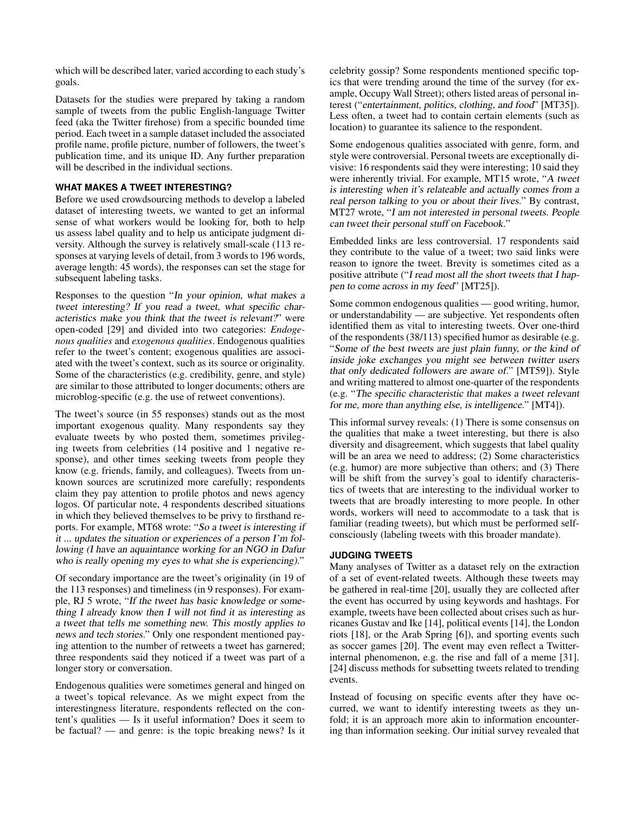which will be described later, varied according to each study's goals.

Datasets for the studies were prepared by taking a random sample of tweets from the public English-language Twitter feed (aka the Twitter firehose) from a specific bounded time period. Each tweet in a sample dataset included the associated profile name, profile picture, number of followers, the tweet's publication time, and its unique ID. Any further preparation will be described in the individual sections.

# **WHAT MAKES A TWEET INTERESTING?**

Before we used crowdsourcing methods to develop a labeled dataset of interesting tweets, we wanted to get an informal sense of what workers would be looking for, both to help us assess label quality and to help us anticipate judgment diversity. Although the survey is relatively small-scale (113 responses at varying levels of detail, from 3 words to 196 words, average length: 45 words), the responses can set the stage for subsequent labeling tasks.

Responses to the question "In your opinion, what makes a tweet interesting? If you read a tweet, what specific characteristics make you think that the tweet is relevant?" were open-coded [29] and divided into two categories: *Endogenous qualities* and *exogenous qualities*. Endogenous qualities refer to the tweet's content; exogenous qualities are associated with the tweet's context, such as its source or originality. Some of the characteristics (e.g. credibility, genre, and style) are similar to those attributed to longer documents; others are microblog-specific (e.g. the use of retweet conventions).

The tweet's source (in 55 responses) stands out as the most important exogenous quality. Many respondents say they evaluate tweets by who posted them, sometimes privileging tweets from celebrities (14 positive and 1 negative response), and other times seeking tweets from people they know (e.g. friends, family, and colleagues). Tweets from unknown sources are scrutinized more carefully; respondents claim they pay attention to profile photos and news agency logos. Of particular note, 4 respondents described situations in which they believed themselves to be privy to firsthand reports. For example, MT68 wrote: "So a tweet is interesting if it ... updates the situation or experiences of a person I'm following (I have an aquaintance working for an NGO in Dafur who is really opening my eyes to what she is experiencing)."

Of secondary importance are the tweet's originality (in 19 of the 113 responses) and timeliness (in 9 responses). For example, RJ 5 wrote, "If the tweet has basic knowledge or something I already know then I will not find it as interesting as a tweet that tells me something new. This mostly applies to news and tech stories." Only one respondent mentioned paying attention to the number of retweets a tweet has garnered; three respondents said they noticed if a tweet was part of a longer story or conversation.

Endogenous qualities were sometimes general and hinged on a tweet's topical relevance. As we might expect from the interestingness literature, respondents reflected on the content's qualities — Is it useful information? Does it seem to be factual? — and genre: is the topic breaking news? Is it celebrity gossip? Some respondents mentioned specific topics that were trending around the time of the survey (for example, Occupy Wall Street); others listed areas of personal interest ("entertainment, politics, clothing, and food" [MT35]). Less often, a tweet had to contain certain elements (such as location) to guarantee its salience to the respondent.

Some endogenous qualities associated with genre, form, and style were controversial. Personal tweets are exceptionally divisive: 16 respondents said they were interesting; 10 said they were inherently trivial. For example, MT15 wrote, "A tweet is interesting when it's relateable and actually comes from a real person talking to you or about their lives." By contrast, MT27 wrote, "I am not interested in personal tweets. People can tweet their personal stuff on Facebook."

Embedded links are less controversial. 17 respondents said they contribute to the value of a tweet; two said links were reason to ignore the tweet. Brevity is sometimes cited as a positive attribute ("I read most all the short tweets that I happen to come across in my feed" [MT25]).

Some common endogenous qualities — good writing, humor, or understandability — are subjective. Yet respondents often identified them as vital to interesting tweets. Over one-third of the respondents (38/113) specified humor as desirable (e.g. "Some of the best tweets are just plain funny, or the kind of inside joke exchanges you might see between twitter users that only dedicated followers are aware of." [MT59]). Style and writing mattered to almost one-quarter of the respondents (e.g. "The specific characteristic that makes a tweet relevant for me, more than anything else, is intelligence." [MT4]).

This informal survey reveals: (1) There is some consensus on the qualities that make a tweet interesting, but there is also diversity and disagreement, which suggests that label quality will be an area we need to address; (2) Some characteristics (e.g. humor) are more subjective than others; and (3) There will be shift from the survey's goal to identify characteristics of tweets that are interesting to the individual worker to tweets that are broadly interesting to more people. In other words, workers will need to accommodate to a task that is familiar (reading tweets), but which must be performed selfconsciously (labeling tweets with this broader mandate).

# **JUDGING TWEETS**

Many analyses of Twitter as a dataset rely on the extraction of a set of event-related tweets. Although these tweets may be gathered in real-time [20], usually they are collected after the event has occurred by using keywords and hashtags. For example, tweets have been collected about crises such as hurricanes Gustav and Ike [14], political events [14], the London riots [18], or the Arab Spring [6]), and sporting events such as soccer games [20]. The event may even reflect a Twitterinternal phenomenon, e.g. the rise and fall of a meme [31]. [24] discuss methods for subsetting tweets related to trending events.

Instead of focusing on specific events after they have occurred, we want to identify interesting tweets as they unfold; it is an approach more akin to information encountering than information seeking. Our initial survey revealed that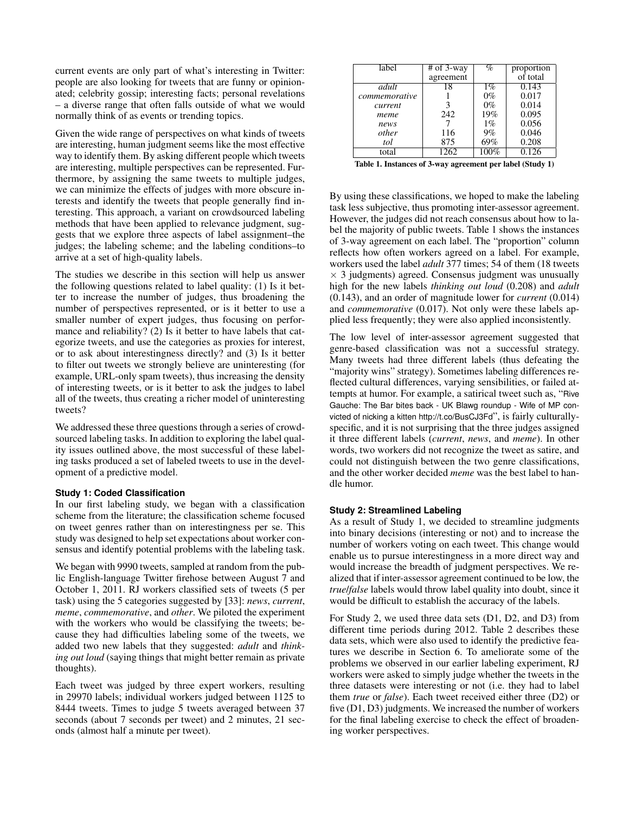current events are only part of what's interesting in Twitter: people are also looking for tweets that are funny or opinionated; celebrity gossip; interesting facts; personal revelations – a diverse range that often falls outside of what we would normally think of as events or trending topics.

Given the wide range of perspectives on what kinds of tweets are interesting, human judgment seems like the most effective way to identify them. By asking different people which tweets are interesting, multiple perspectives can be represented. Furthermore, by assigning the same tweets to multiple judges, we can minimize the effects of judges with more obscure interests and identify the tweets that people generally find interesting. This approach, a variant on crowdsourced labeling methods that have been applied to relevance judgment, suggests that we explore three aspects of label assignment–the judges; the labeling scheme; and the labeling conditions–to arrive at a set of high-quality labels.

The studies we describe in this section will help us answer the following questions related to label quality: (1) Is it better to increase the number of judges, thus broadening the number of perspectives represented, or is it better to use a smaller number of expert judges, thus focusing on performance and reliability? (2) Is it better to have labels that categorize tweets, and use the categories as proxies for interest, or to ask about interestingness directly? and (3) Is it better to filter out tweets we strongly believe are uninteresting (for example, URL-only spam tweets), thus increasing the density of interesting tweets, or is it better to ask the judges to label all of the tweets, thus creating a richer model of uninteresting tweets?

We addressed these three questions through a series of crowdsourced labeling tasks. In addition to exploring the label quality issues outlined above, the most successful of these labeling tasks produced a set of labeled tweets to use in the development of a predictive model.

## **Study 1: Coded Classification**

In our first labeling study, we began with a classification scheme from the literature; the classification scheme focused on tweet genres rather than on interestingness per se. This study was designed to help set expectations about worker consensus and identify potential problems with the labeling task.

We began with 9990 tweets, sampled at random from the public English-language Twitter firehose between August 7 and October 1, 2011. RJ workers classified sets of tweets (5 per task) using the 5 categories suggested by [33]: *news*, *current*, *meme*, *commemorative*, and *other*. We piloted the experiment with the workers who would be classifying the tweets; because they had difficulties labeling some of the tweets, we added two new labels that they suggested: *adult* and *thinking out loud* (saying things that might better remain as private thoughts).

Each tweet was judged by three expert workers, resulting in 29970 labels; individual workers judged between 1125 to 8444 tweets. Times to judge 5 tweets averaged between 37 seconds (about 7 seconds per tweet) and 2 minutes, 21 seconds (almost half a minute per tweet).

| label         | $#$ of 3-way | $\%$  | proportion |
|---------------|--------------|-------|------------|
|               | agreement    |       | of total   |
| adult         | 18           | $1\%$ | 0.143      |
| commemorative |              | $0\%$ | 0.017      |
| current       | 3            | $0\%$ | 0.014      |
| meme          | 242          | 19%   | 0.095      |
| news          |              | $1\%$ | 0.056      |
| other         | 116          | 9%    | 0.046      |
| tol           | 875          | 69%   | 0.208      |
| total         | 1262         | 100%  | 0.126      |

Table 1. Instances of 3-way agreement per label (Study 1)

By using these classifications, we hoped to make the labeling task less subjective, thus promoting inter-assessor agreement. However, the judges did not reach consensus about how to label the majority of public tweets. Table 1 shows the instances of 3-way agreement on each label. The "proportion" column reflects how often workers agreed on a label. For example, workers used the label *adult* 377 times; 54 of them (18 tweets  $\times$  3 judgments) agreed. Consensus judgment was unusually high for the new labels *thinking out loud* (0.208) and *adult* (0.143), and an order of magnitude lower for *current* (0.014) and *commemorative* (0.017). Not only were these labels applied less frequently; they were also applied inconsistently.

The low level of inter-assessor agreement suggested that genre-based classification was not a successful strategy. Many tweets had three different labels (thus defeating the "majority wins" strategy). Sometimes labeling differences reflected cultural differences, varying sensibilities, or failed attempts at humor. For example, a satirical tweet such as, "Rive Gauche: The Bar bites back - UK Blawg roundup - Wife of MP convicted of nicking a kitten http://t.co/BusCJ3Fd", is fairly culturallyspecific, and it is not surprising that the three judges assigned it three different labels (*current*, *news*, and *meme*). In other words, two workers did not recognize the tweet as satire, and could not distinguish between the two genre classifications, and the other worker decided *meme* was the best label to handle humor.

# **Study 2: Streamlined Labeling**

As a result of Study 1, we decided to streamline judgments into binary decisions (interesting or not) and to increase the number of workers voting on each tweet. This change would enable us to pursue interestingness in a more direct way and would increase the breadth of judgment perspectives. We realized that if inter-assessor agreement continued to be low, the *true*/*false* labels would throw label quality into doubt, since it would be difficult to establish the accuracy of the labels.

For Study 2, we used three data sets (D1, D2, and D3) from different time periods during 2012. Table 2 describes these data sets, which were also used to identify the predictive features we describe in Section 6. To ameliorate some of the problems we observed in our earlier labeling experiment, RJ workers were asked to simply judge whether the tweets in the three datasets were interesting or not (i.e. they had to label them *true* or *false*). Each tweet received either three (D2) or five (D1, D3) judgments. We increased the number of workers for the final labeling exercise to check the effect of broadening worker perspectives.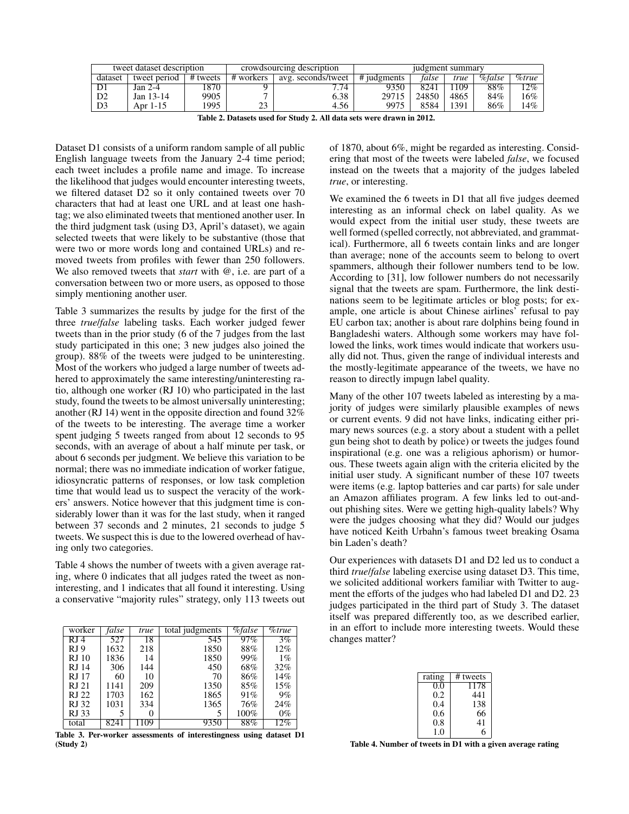| tweet dataset description<br>crowdsourcing description |              | judgment summary |           |                    |                |       |      |        |        |
|--------------------------------------------------------|--------------|------------------|-----------|--------------------|----------------|-------|------|--------|--------|
| dataset                                                | tweet period | # tweets         | # workers | avg. seconds/tweet | $\#$ judgments | talse | true | %false | %true  |
|                                                        | Jan 2-4      | 870              |           | 14                 | 9350           | 8241  | 109  | 88%    | $12\%$ |
| D2                                                     | Jan 13-14    | 9905             |           | 6.38               | 29715          | 24850 | 4865 | 84%    | 16%    |
| D3                                                     | Apr 1-15     | 1995             | つつ<br>ر ے | 4.56               | 9975           | 8584  | 1391 | 86%    | 14%    |

Table 2. Datasets used for Study 2. All data sets were drawn in 2012.

Dataset D1 consists of a uniform random sample of all public English language tweets from the January 2-4 time period; each tweet includes a profile name and image. To increase the likelihood that judges would encounter interesting tweets, we filtered dataset D2 so it only contained tweets over 70 characters that had at least one URL and at least one hashtag; we also eliminated tweets that mentioned another user. In the third judgment task (using D3, April's dataset), we again selected tweets that were likely to be substantive (those that were two or more words long and contained URLs) and removed tweets from profiles with fewer than 250 followers. We also removed tweets that *start* with @, i.e. are part of a conversation between two or more users, as opposed to those simply mentioning another user.

Table 3 summarizes the results by judge for the first of the three *true*/*false* labeling tasks. Each worker judged fewer tweets than in the prior study (6 of the 7 judges from the last study participated in this one; 3 new judges also joined the group). 88% of the tweets were judged to be uninteresting. Most of the workers who judged a large number of tweets adhered to approximately the same interesting/uninteresting ratio, although one worker (RJ 10) who participated in the last study, found the tweets to be almost universally uninteresting; another (RJ 14) went in the opposite direction and found 32% of the tweets to be interesting. The average time a worker spent judging 5 tweets ranged from about 12 seconds to 95 seconds, with an average of about a half minute per task, or about 6 seconds per judgment. We believe this variation to be normal; there was no immediate indication of worker fatigue, idiosyncratic patterns of responses, or low task completion time that would lead us to suspect the veracity of the workers' answers. Notice however that this judgment time is considerably lower than it was for the last study, when it ranged between 37 seconds and 2 minutes, 21 seconds to judge 5 tweets. We suspect this is due to the lowered overhead of having only two categories.

Table 4 shows the number of tweets with a given average rating, where 0 indicates that all judges rated the tweet as noninteresting, and 1 indicates that all found it interesting. Using a conservative "majority rules" strategy, only 113 tweets out

| worker       | false | true | total judgments | %false | $\%$ true |
|--------------|-------|------|-----------------|--------|-----------|
| RJ 4         | 527   | 18   | 545             | $97\%$ | $3\%$     |
| RJ 9         | 1632  | 218  | 1850            | 88%    | 12%       |
| RJ 10        | 1836  | 14   | 1850            | 99%    | $1\%$     |
| RJ 14        | 306   | 144  | 450             | 68%    | $32\%$    |
| RJ 17        | 60    | 10   | 70              | 86%    | 14%       |
| <b>RJ 21</b> | 1141  | 209  | 1350            | 85%    | 15%       |
| <b>RJ</b> 22 | 1703  | 162  | 1865            | 91%    | 9%        |
| RJ 32        | 1031  | 334  | 1365            | 76%    | 24%       |
| <b>RJ</b> 33 |       | 0    |                 | 100%   | $0\%$     |
| total        | 8241  | 109  | 9350            | 88%    | 12%       |

Table 3. Per-worker assessments of interestingness using dataset D1 (Study 2)

of 1870, about 6%, might be regarded as interesting. Considering that most of the tweets were labeled *false*, we focused instead on the tweets that a majority of the judges labeled *true*, or interesting.

We examined the 6 tweets in D1 that all five judges deemed interesting as an informal check on label quality. As we would expect from the initial user study, these tweets are well formed (spelled correctly, not abbreviated, and grammatical). Furthermore, all 6 tweets contain links and are longer than average; none of the accounts seem to belong to overt spammers, although their follower numbers tend to be low. According to [31], low follower numbers do not necessarily signal that the tweets are spam. Furthermore, the link destinations seem to be legitimate articles or blog posts; for example, one article is about Chinese airlines' refusal to pay EU carbon tax; another is about rare dolphins being found in Bangladeshi waters. Although some workers may have followed the links, work times would indicate that workers usually did not. Thus, given the range of individual interests and the mostly-legitimate appearance of the tweets, we have no reason to directly impugn label quality.

Many of the other 107 tweets labeled as interesting by a majority of judges were similarly plausible examples of news or current events. 9 did not have links, indicating either primary news sources (e.g. a story about a student with a pellet gun being shot to death by police) or tweets the judges found inspirational (e.g. one was a religious aphorism) or humorous. These tweets again align with the criteria elicited by the initial user study. A significant number of these 107 tweets were items (e.g. laptop batteries and car parts) for sale under an Amazon affiliates program. A few links led to out-andout phishing sites. Were we getting high-quality labels? Why were the judges choosing what they did? Would our judges have noticed Keith Urbahn's famous tweet breaking Osama bin Laden's death?

Our experiences with datasets D1 and D2 led us to conduct a third *true*/*false* labeling exercise using dataset D3. This time, we solicited additional workers familiar with Twitter to augment the efforts of the judges who had labeled D1 and D2. 23 judges participated in the third part of Study 3. The dataset itself was prepared differently too, as we described earlier, in an effort to include more interesting tweets. Would these changes matter?

| rating  | # tweets |
|---------|----------|
| 0.0     | 1178     |
| 0.2     | 441      |
| 0.4     | 138      |
| 0.6     | 66       |
| $0.8\,$ | 41       |
|         |          |
|         |          |

Table 4. Number of tweets in D1 with a given average rating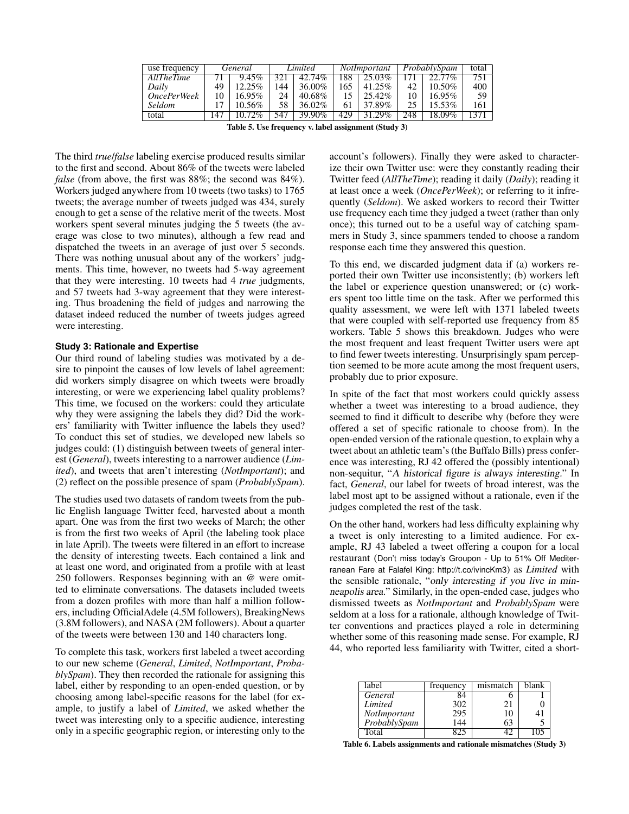| use frequency             | General |           | Limited |        | <i>NotImportant</i> |           | ProbablySpam |        | total |
|---------------------------|---------|-----------|---------|--------|---------------------|-----------|--------------|--------|-------|
| <i><b>AllTheTime</b></i>  |         | 9.45%     |         | 42.74% | 88                  | 25.03%    |              | $77\%$ | 751   |
| Daily                     | 49      | $12.25\%$ | 44      | 36.00% | 65                  | $41.25\%$ | 42           | 10.50% | 400   |
| <i><b>OncePerWeek</b></i> |         | 16.95%    | 24      | 40.68% |                     | 25.42%    | 10           | 16.95% | 59    |
| Seldom                    |         | $10.56\%$ | 58      | 36.02% | 61                  | 37.89%    | 25           | 15.53% | 161   |
| total                     | 147     | 10.72%    | 547     | 39.90% | 429                 | 31.29%    | 248          | 18.09% |       |

Table 5. Use frequency v. label assignment (Study 3)

The third *true*/*false* labeling exercise produced results similar to the first and second. About 86% of the tweets were labeled *false* (from above, the first was 88%; the second was 84%). Workers judged anywhere from 10 tweets (two tasks) to 1765 tweets; the average number of tweets judged was 434, surely enough to get a sense of the relative merit of the tweets. Most workers spent several minutes judging the 5 tweets (the average was close to two minutes), although a few read and dispatched the tweets in an average of just over 5 seconds. There was nothing unusual about any of the workers' judgments. This time, however, no tweets had 5-way agreement that they were interesting. 10 tweets had 4 *true* judgments, and 57 tweets had 3-way agreement that they were interesting. Thus broadening the field of judges and narrowing the dataset indeed reduced the number of tweets judges agreed were interesting.

#### **Study 3: Rationale and Expertise**

Our third round of labeling studies was motivated by a desire to pinpoint the causes of low levels of label agreement: did workers simply disagree on which tweets were broadly interesting, or were we experiencing label quality problems? This time, we focused on the workers: could they articulate why they were assigning the labels they did? Did the workers' familiarity with Twitter influence the labels they used? To conduct this set of studies, we developed new labels so judges could: (1) distinguish between tweets of general interest (*General*), tweets interesting to a narrower audience (*Limited*), and tweets that aren't interesting (*NotImportant*); and (2) reflect on the possible presence of spam (*ProbablySpam*).

The studies used two datasets of random tweets from the public English language Twitter feed, harvested about a month apart. One was from the first two weeks of March; the other is from the first two weeks of April (the labeling took place in late April). The tweets were filtered in an effort to increase the density of interesting tweets. Each contained a link and at least one word, and originated from a profile with at least 250 followers. Responses beginning with an @ were omitted to eliminate conversations. The datasets included tweets from a dozen profiles with more than half a million followers, including OfficialAdele (4.5M followers), BreakingNews (3.8M followers), and NASA (2M followers). About a quarter of the tweets were between 130 and 140 characters long.

To complete this task, workers first labeled a tweet according to our new scheme (*General*, *Limited*, *NotImportant*, *ProbablySpam*). They then recorded the rationale for assigning this label, either by responding to an open-ended question, or by choosing among label-specific reasons for the label (for example, to justify a label of *Limited*, we asked whether the tweet was interesting only to a specific audience, interesting only in a specific geographic region, or interesting only to the

account's followers). Finally they were asked to characterize their own Twitter use: were they constantly reading their Twitter feed (*AllTheTime*); reading it daily (*Daily*); reading it at least once a week (*OncePerWeek*); or referring to it infrequently (*Seldom*). We asked workers to record their Twitter use frequency each time they judged a tweet (rather than only once); this turned out to be a useful way of catching spammers in Study 3, since spammers tended to choose a random response each time they answered this question.

To this end, we discarded judgment data if (a) workers reported their own Twitter use inconsistently; (b) workers left the label or experience question unanswered; or (c) workers spent too little time on the task. After we performed this quality assessment, we were left with 1371 labeled tweets that were coupled with self-reported use frequency from 85 workers. Table 5 shows this breakdown. Judges who were the most frequent and least frequent Twitter users were apt to find fewer tweets interesting. Unsurprisingly spam perception seemed to be more acute among the most frequent users, probably due to prior exposure.

In spite of the fact that most workers could quickly assess whether a tweet was interesting to a broad audience, they seemed to find it difficult to describe why (before they were offered a set of specific rationale to choose from). In the open-ended version of the rationale question, to explain why a tweet about an athletic team's (the Buffalo Bills) press conference was interesting, RJ 42 offered the (possibly intentional) non-sequitur, "A historical figure is always interesting." In fact, *General*, our label for tweets of broad interest, was the label most apt to be assigned without a rationale, even if the judges completed the rest of the task.

On the other hand, workers had less difficulty explaining why a tweet is only interesting to a limited audience. For example, RJ 43 labeled a tweet offering a coupon for a local restaurant (Don't miss today's Groupon - Up to 51% Off Mediterranean Fare at Falafel King: http://t.co/ivincKm3) as *Limited* with the sensible rationale, "only interesting if you live in minneapolis area." Similarly, in the open-ended case, judges who dismissed tweets as *NotImportant* and *ProbablySpam* were seldom at a loss for a rationale, although knowledge of Twitter conventions and practices played a role in determining whether some of this reasoning made sense. For example, RJ 44, who reported less familiarity with Twitter, cited a short-

| label        | frequency | mismatch | hlank |
|--------------|-----------|----------|-------|
| General      |           |          |       |
| Limited      | 302       | 21       |       |
| NotImportant | 295       |          |       |
| ProbablySpam | 144       | 63       |       |
| Total        |           |          |       |

Table 6. Labels assignments and rationale mismatches (Study 3)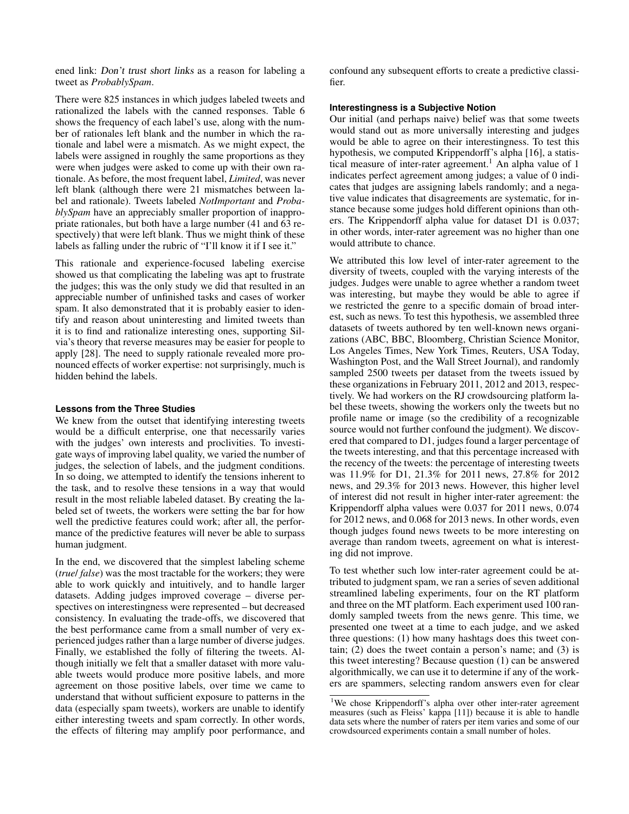ened link: Don't trust short links as a reason for labeling a tweet as *ProbablySpam*.

There were 825 instances in which judges labeled tweets and rationalized the labels with the canned responses. Table 6 shows the frequency of each label's use, along with the number of rationales left blank and the number in which the rationale and label were a mismatch. As we might expect, the labels were assigned in roughly the same proportions as they were when judges were asked to come up with their own rationale. As before, the most frequent label, *Limited*, was never left blank (although there were 21 mismatches between label and rationale). Tweets labeled *NotImportant* and *ProbablySpam* have an appreciably smaller proportion of inappropriate rationales, but both have a large number (41 and 63 respectively) that were left blank. Thus we might think of these labels as falling under the rubric of "I'll know it if I see it."

This rationale and experience-focused labeling exercise showed us that complicating the labeling was apt to frustrate the judges; this was the only study we did that resulted in an appreciable number of unfinished tasks and cases of worker spam. It also demonstrated that it is probably easier to identify and reason about uninteresting and limited tweets than it is to find and rationalize interesting ones, supporting Silvia's theory that reverse measures may be easier for people to apply [28]. The need to supply rationale revealed more pronounced effects of worker expertise: not surprisingly, much is hidden behind the labels.

## **Lessons from the Three Studies**

We knew from the outset that identifying interesting tweets would be a difficult enterprise, one that necessarily varies with the judges' own interests and proclivities. To investigate ways of improving label quality, we varied the number of judges, the selection of labels, and the judgment conditions. In so doing, we attempted to identify the tensions inherent to the task, and to resolve these tensions in a way that would result in the most reliable labeled dataset. By creating the labeled set of tweets, the workers were setting the bar for how well the predictive features could work; after all, the performance of the predictive features will never be able to surpass human judgment.

In the end, we discovered that the simplest labeling scheme (*true*/ *false*) was the most tractable for the workers; they were able to work quickly and intuitively, and to handle larger datasets. Adding judges improved coverage – diverse perspectives on interestingness were represented – but decreased consistency. In evaluating the trade-offs, we discovered that the best performance came from a small number of very experienced judges rather than a large number of diverse judges. Finally, we established the folly of filtering the tweets. Although initially we felt that a smaller dataset with more valuable tweets would produce more positive labels, and more agreement on those positive labels, over time we came to understand that without sufficient exposure to patterns in the data (especially spam tweets), workers are unable to identify either interesting tweets and spam correctly. In other words, the effects of filtering may amplify poor performance, and

confound any subsequent efforts to create a predictive classifier.

## **Interestingness is a Subjective Notion**

Our initial (and perhaps naive) belief was that some tweets would stand out as more universally interesting and judges would be able to agree on their interestingness. To test this hypothesis, we computed Krippendorff's alpha [16], a statistical measure of inter-rater agreement.<sup>1</sup> An alpha value of 1 indicates perfect agreement among judges; a value of 0 indicates that judges are assigning labels randomly; and a negative value indicates that disagreements are systematic, for instance because some judges hold different opinions than others. The Krippendorff alpha value for dataset D1 is 0.037; in other words, inter-rater agreement was no higher than one would attribute to chance.

We attributed this low level of inter-rater agreement to the diversity of tweets, coupled with the varying interests of the judges. Judges were unable to agree whether a random tweet was interesting, but maybe they would be able to agree if we restricted the genre to a specific domain of broad interest, such as news. To test this hypothesis, we assembled three datasets of tweets authored by ten well-known news organizations (ABC, BBC, Bloomberg, Christian Science Monitor, Los Angeles Times, New York Times, Reuters, USA Today, Washington Post, and the Wall Street Journal), and randomly sampled 2500 tweets per dataset from the tweets issued by these organizations in February 2011, 2012 and 2013, respectively. We had workers on the RJ crowdsourcing platform label these tweets, showing the workers only the tweets but no profile name or image (so the credibility of a recognizable source would not further confound the judgment). We discovered that compared to D1, judges found a larger percentage of the tweets interesting, and that this percentage increased with the recency of the tweets: the percentage of interesting tweets was 11.9% for D1, 21.3% for 2011 news, 27.8% for 2012 news, and 29.3% for 2013 news. However, this higher level of interest did not result in higher inter-rater agreement: the Krippendorff alpha values were 0.037 for 2011 news, 0.074 for 2012 news, and 0.068 for 2013 news. In other words, even though judges found news tweets to be more interesting on average than random tweets, agreement on what is interesting did not improve.

To test whether such low inter-rater agreement could be attributed to judgment spam, we ran a series of seven additional streamlined labeling experiments, four on the RT platform and three on the MT platform. Each experiment used 100 randomly sampled tweets from the news genre. This time, we presented one tweet at a time to each judge, and we asked three questions: (1) how many hashtags does this tweet contain; (2) does the tweet contain a person's name; and (3) is this tweet interesting? Because question (1) can be answered algorithmically, we can use it to determine if any of the workers are spammers, selecting random answers even for clear

<sup>&</sup>lt;sup>1</sup>We chose Krippendorff's alpha over other inter-rater agreement measures (such as Fleiss' kappa [11]) because it is able to handle data sets where the number of raters per item varies and some of our crowdsourced experiments contain a small number of holes.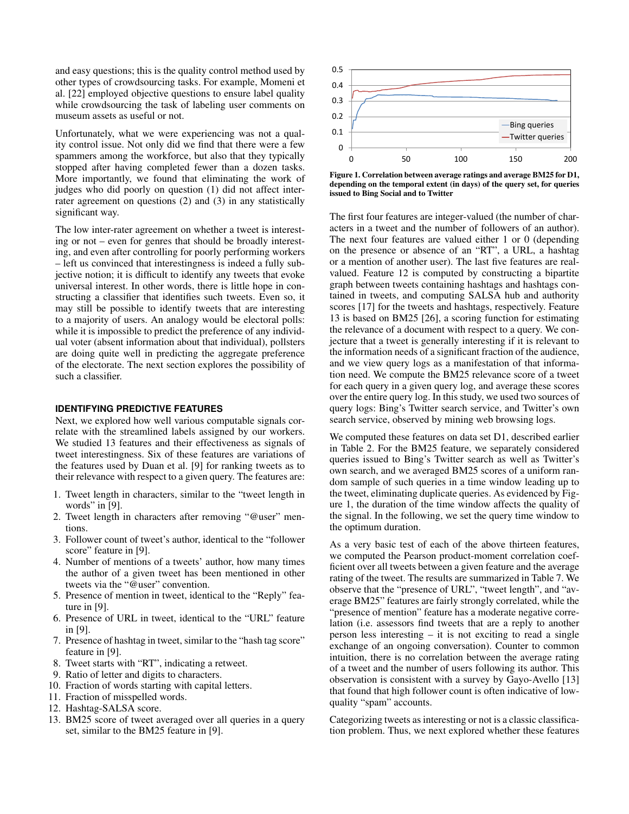and easy questions; this is the quality control method used by other types of crowdsourcing tasks. For example, Momeni et al. [22] employed objective questions to ensure label quality while crowdsourcing the task of labeling user comments on museum assets as useful or not.

Unfortunately, what we were experiencing was not a quality control issue. Not only did we find that there were a few spammers among the workforce, but also that they typically stopped after having completed fewer than a dozen tasks. More importantly, we found that eliminating the work of judges who did poorly on question (1) did not affect interrater agreement on questions (2) and (3) in any statistically significant way.

The low inter-rater agreement on whether a tweet is interesting or not – even for genres that should be broadly interesting, and even after controlling for poorly performing workers – left us convinced that interestingness is indeed a fully subjective notion; it is difficult to identify any tweets that evoke universal interest. In other words, there is little hope in constructing a classifier that identifies such tweets. Even so, it may still be possible to identify tweets that are interesting to a majority of users. An analogy would be electoral polls: while it is impossible to predict the preference of any individual voter (absent information about that individual), pollsters are doing quite well in predicting the aggregate preference of the electorate. The next section explores the possibility of such a classifier.

## **IDENTIFYING PREDICTIVE FEATURES**

Next, we explored how well various computable signals correlate with the streamlined labels assigned by our workers. We studied 13 features and their effectiveness as signals of tweet interestingness. Six of these features are variations of the features used by Duan et al. [9] for ranking tweets as to their relevance with respect to a given query. The features are:

- 1. Tweet length in characters, similar to the "tweet length in words" in [9].
- 2. Tweet length in characters after removing "@user" mentions.
- 3. Follower count of tweet's author, identical to the "follower score" feature in [9].
- 4. Number of mentions of a tweets' author, how many times the author of a given tweet has been mentioned in other tweets via the "@user" convention.
- 5. Presence of mention in tweet, identical to the "Reply" feature in [9].
- 6. Presence of URL in tweet, identical to the "URL" feature in [9].
- 7. Presence of hashtag in tweet, similar to the "hash tag score" feature in [9].
- 8. Tweet starts with "RT", indicating a retweet.
- 9. Ratio of letter and digits to characters.
- 10. Fraction of words starting with capital letters.
- 11. Fraction of misspelled words.
- 12. Hashtag-SALSA score.
- 13. BM25 score of tweet averaged over all queries in a query set, similar to the BM25 feature in [9].



Figure 1. Correlation between average ratings and average BM25 for D1, depending on the temporal extent (in days) of the query set, for queries issued to Bing Social and to Twitter

The first four features are integer-valued (the number of characters in a tweet and the number of followers of an author). The next four features are valued either 1 or 0 (depending on the presence or absence of an "RT", a URL, a hashtag or a mention of another user). The last five features are realvalued. Feature 12 is computed by constructing a bipartite graph between tweets containing hashtags and hashtags contained in tweets, and computing SALSA hub and authority scores [17] for the tweets and hashtags, respectively. Feature 13 is based on BM25 [26], a scoring function for estimating the relevance of a document with respect to a query. We conjecture that a tweet is generally interesting if it is relevant to the information needs of a significant fraction of the audience, and we view query logs as a manifestation of that information need. We compute the BM25 relevance score of a tweet for each query in a given query log, and average these scores over the entire query log. In this study, we used two sources of query logs: Bing's Twitter search service, and Twitter's own search service, observed by mining web browsing logs.

We computed these features on data set D1, described earlier in Table 2. For the BM25 feature, we separately considered queries issued to Bing's Twitter search as well as Twitter's own search, and we averaged BM25 scores of a uniform random sample of such queries in a time window leading up to the tweet, eliminating duplicate queries. As evidenced by Figure 1, the duration of the time window affects the quality of the signal. In the following, we set the query time window to the optimum duration.

As a very basic test of each of the above thirteen features, we computed the Pearson product-moment correlation coefficient over all tweets between a given feature and the average rating of the tweet. The results are summarized in Table 7. We observe that the "presence of URL", "tweet length", and "average BM25" features are fairly strongly correlated, while the "presence of mention" feature has a moderate negative correlation (i.e. assessors find tweets that are a reply to another person less interesting – it is not exciting to read a single exchange of an ongoing conversation). Counter to common intuition, there is no correlation between the average rating of a tweet and the number of users following its author. This observation is consistent with a survey by Gayo-Avello [13] that found that high follower count is often indicative of lowquality "spam" accounts.

Categorizing tweets as interesting or not is a classic classification problem. Thus, we next explored whether these features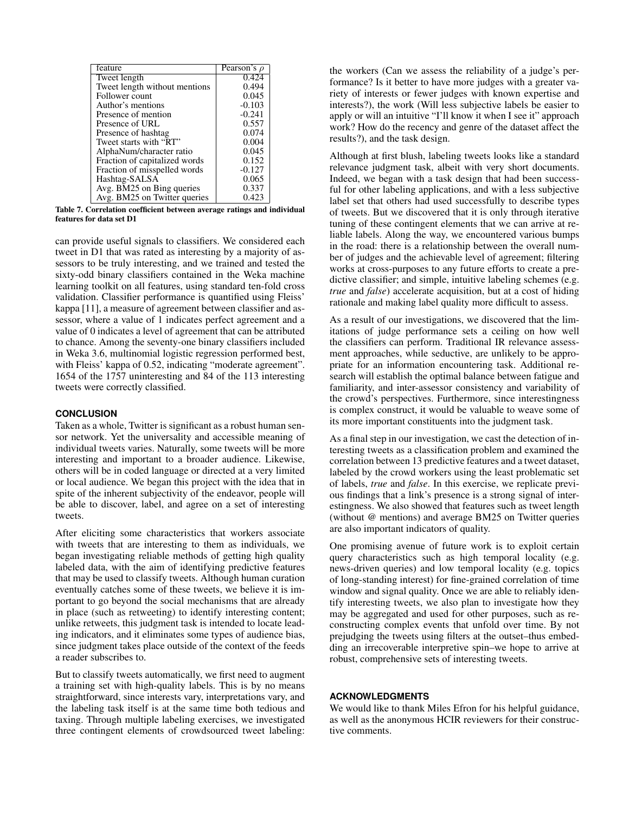| feature                       | Pearson's $\rho$ |
|-------------------------------|------------------|
| Tweet length                  | 0.424            |
| Tweet length without mentions | 0.494            |
| Follower count                | 0.045            |
| Author's mentions             | $-0.103$         |
| Presence of mention           | $-0.241$         |
| Presence of URL               | 0.557            |
| Presence of hashtag           | 0.074            |
| Tweet starts with "RT"        | 0.004            |
| AlphaNum/character ratio      | 0.045            |
| Fraction of capitalized words | 0.152            |
| Fraction of misspelled words  | $-0.127$         |
| Hashtag-SALSA                 | 0.065            |
| Avg. BM25 on Bing queries     | 0.337            |
| Avg. BM25 on Twitter queries  | 0.423            |

Table 7. Correlation coefficient between average ratings and individual features for data set D1

can provide useful signals to classifiers. We considered each tweet in D1 that was rated as interesting by a majority of assessors to be truly interesting, and we trained and tested the sixty-odd binary classifiers contained in the Weka machine learning toolkit on all features, using standard ten-fold cross validation. Classifier performance is quantified using Fleiss' kappa [11], a measure of agreement between classifier and assessor, where a value of 1 indicates perfect agreement and a value of 0 indicates a level of agreement that can be attributed to chance. Among the seventy-one binary classifiers included in Weka 3.6, multinomial logistic regression performed best, with Fleiss' kappa of 0.52, indicating "moderate agreement". 1654 of the 1757 uninteresting and 84 of the 113 interesting tweets were correctly classified.

# **CONCLUSION**

Taken as a whole, Twitter is significant as a robust human sensor network. Yet the universality and accessible meaning of individual tweets varies. Naturally, some tweets will be more interesting and important to a broader audience. Likewise, others will be in coded language or directed at a very limited or local audience. We began this project with the idea that in spite of the inherent subjectivity of the endeavor, people will be able to discover, label, and agree on a set of interesting tweets.

After eliciting some characteristics that workers associate with tweets that are interesting to them as individuals, we began investigating reliable methods of getting high quality labeled data, with the aim of identifying predictive features that may be used to classify tweets. Although human curation eventually catches some of these tweets, we believe it is important to go beyond the social mechanisms that are already in place (such as retweeting) to identify interesting content; unlike retweets, this judgment task is intended to locate leading indicators, and it eliminates some types of audience bias, since judgment takes place outside of the context of the feeds a reader subscribes to.

But to classify tweets automatically, we first need to augment a training set with high-quality labels. This is by no means straightforward, since interests vary, interpretations vary, and the labeling task itself is at the same time both tedious and taxing. Through multiple labeling exercises, we investigated three contingent elements of crowdsourced tweet labeling: the workers (Can we assess the reliability of a judge's performance? Is it better to have more judges with a greater variety of interests or fewer judges with known expertise and interests?), the work (Will less subjective labels be easier to apply or will an intuitive "I'll know it when I see it" approach work? How do the recency and genre of the dataset affect the results?), and the task design.

Although at first blush, labeling tweets looks like a standard relevance judgment task, albeit with very short documents. Indeed, we began with a task design that had been successful for other labeling applications, and with a less subjective label set that others had used successfully to describe types of tweets. But we discovered that it is only through iterative tuning of these contingent elements that we can arrive at reliable labels. Along the way, we encountered various bumps in the road: there is a relationship between the overall number of judges and the achievable level of agreement; filtering works at cross-purposes to any future efforts to create a predictive classifier; and simple, intuitive labeling schemes (e.g. *true* and *false*) accelerate acquisition, but at a cost of hiding rationale and making label quality more difficult to assess.

As a result of our investigations, we discovered that the limitations of judge performance sets a ceiling on how well the classifiers can perform. Traditional IR relevance assessment approaches, while seductive, are unlikely to be appropriate for an information encountering task. Additional research will establish the optimal balance between fatigue and familiarity, and inter-assessor consistency and variability of the crowd's perspectives. Furthermore, since interestingness is complex construct, it would be valuable to weave some of its more important constituents into the judgment task.

As a final step in our investigation, we cast the detection of interesting tweets as a classification problem and examined the correlation between 13 predictive features and a tweet dataset, labeled by the crowd workers using the least problematic set of labels, *true* and *false*. In this exercise, we replicate previous findings that a link's presence is a strong signal of interestingness. We also showed that features such as tweet length (without @ mentions) and average BM25 on Twitter queries are also important indicators of quality.

One promising avenue of future work is to exploit certain query characteristics such as high temporal locality (e.g. news-driven queries) and low temporal locality (e.g. topics of long-standing interest) for fine-grained correlation of time window and signal quality. Once we are able to reliably identify interesting tweets, we also plan to investigate how they may be aggregated and used for other purposes, such as reconstructing complex events that unfold over time. By not prejudging the tweets using filters at the outset–thus embedding an irrecoverable interpretive spin–we hope to arrive at robust, comprehensive sets of interesting tweets.

## **ACKNOWLEDGMENTS**

We would like to thank Miles Efron for his helpful guidance, as well as the anonymous HCIR reviewers for their constructive comments.